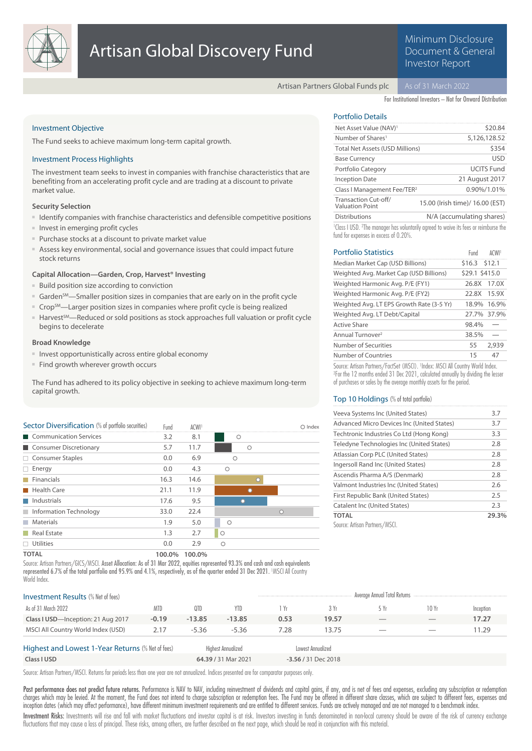

# Minimum Disclosure Document & General Investor Report

Artisan Partners Global Funds plc

For Institutional Investors – Not for Onward Distribution

## Investment Objective

The Fund seeks to achieve maximum long-term capital growth.

## Investment Process Highlights

The investment team seeks to invest in companies with franchise characteristics that are benefiting from an accelerating profit cycle and are trading at a discount to private market value.

## **Security Selection**

- Identify companies with franchise characteristics and defensible competitive positions
- Invest in emerging profit cycles
- Purchase stocks at a discount to private market value
- Assess key environmental, social and governance issues that could impact future stock returns

## **Capital Allocation—Garden, Crop, Harvest® Investing**

- Build position size according to conviction
- Garden<sup>SM</sup>—Smaller position sizes in companies that are early on in the profit cycle
- Crop<sup>SM</sup>—Larger position sizes in companies where profit cycle is being realized
- Harvest<sup>SM</sup>—Reduced or sold positions as stock approaches full valuation or profit cycle begins to decelerate

## **Broad Knowledge**

- Invest opportunistically across entire global economy
- Find growth wherever growth occurs

The Fund has adhered to its policy objective in seeking to achieve maximum long-term capital growth.

| Sector Diversification (% of portfolio securities) | Fund   | ACWI <sup>1</sup> |         | Index   |
|----------------------------------------------------|--------|-------------------|---------|---------|
| Communication Services                             | 3.2    | 8.1               | О       |         |
| Consumer Discretionary                             | 5.7    | 11.7              | O       |         |
| $\Box$ Consumer Staples                            | 0.0    | 6.9               | $\circ$ |         |
| Energy                                             | 0.0    | 4.3               | $\circ$ |         |
| Financials<br><b>In the first</b>                  | 16.3   | 14.6              | $\cap$  |         |
| <b>Health Care</b>                                 | 21.1   | 11.9              |         |         |
| $\blacksquare$ Industrials                         | 17.6   | 9.5               |         |         |
| Information Technology                             | 33.0   | 22.4              |         | $\circ$ |
| Materials<br><b>Talling</b>                        | 1.9    | 5.0               | $\circ$ |         |
| Real Estate<br>T I                                 | 1.3    | 2.7               | $\circ$ |         |
| Utilities                                          | 0.0    | 2.9               | $\circ$ |         |
| <b>TOTAL</b>                                       | 100.0% | 100.0%            |         |         |

Source: Artisan Partners/GICS/MSCI. Asset Allocation: As of 31 Mar 2022, equities represented 93.3% and cash and cash equivalents represented 6.7% of the total portfolio and 95.9% and 4.1%, respectively, as of the quarter ended 31 Dec 2021. MSCI All Country World Index

| <b>Investment Results (% Net of fees)</b>                                      |            |          |                     |      |                     | Average Annual Total Returns   |                          |           |
|--------------------------------------------------------------------------------|------------|----------|---------------------|------|---------------------|--------------------------------|--------------------------|-----------|
| As of 31 March 2022                                                            | <b>MTD</b> | 0TD      | YTD.                | 1 Yr | 3 Yr                | 5 Yr                           | 10 Yr                    | Inception |
| Class I USD-Inception: 21 Aug 2017                                             | $-0.19$    | $-13.85$ | $-13.85$            | 0.53 | 19.57               | $\overline{\phantom{a}}$       | $\overline{\phantom{a}}$ | 17.27     |
| MSCI All Country World Index (USD)                                             | 2.17       | $-5.36$  | $-5.36$             | 7.28 | 13.75               | $\overbrace{\hspace{25mm}}^{}$ | $\overline{\phantom{a}}$ | 11.29     |
| Highest and Lowest 1-Year Returns (% Net of fees)<br><b>Highest Annualized</b> |            |          | Lowest Annualized   |      |                     |                                |                          |           |
| Class I USD                                                                    |            |          | 64.39 / 31 Mar 2021 |      | -3.56 / 31 Dec 2018 |                                |                          |           |

Source: Artisan Partners/MSCI. Returns for periods less than one year are not annualized. Indices presented are for comparator purposes only.

Past performance does not predict future returns. Performance is NAV to NAV, including reinvestment of dividends and capital gains, if any, and is net of fees and expenses, excluding any subscription or redemption charges which may be levied. At the moment, the Fund does not intend to charge subscription or redemption fees. The Fund may be offered in different share classes, which are subject to different fees, expenses and inception dates (which may affect performance), have different minimum investment requirements and are entitled to different services. Funds are actively managed and are not managed to a benchmark index.

Investment Risks: Investments will rise and fall with market fluctuations and investor capital is at risk. Investors investing in funds denominated in non-local currency should be aware of the risk of currency exchange fluctuations that may cause a loss of principal. These risks, among others, are further described on the next page, which should be read in conjunction with this material.

## Portfolio Details

| Net Asset Value (NAV) <sup>1</sup>             | \$20.84                         |
|------------------------------------------------|---------------------------------|
| Number of Shares <sup>1</sup>                  | 5,126,128.52                    |
| <b>Total Net Assets (USD Millions)</b>         | \$354                           |
| <b>Base Currency</b>                           | <b>USD</b>                      |
| Portfolio Category                             | <b>UCITS Fund</b>               |
| <b>Inception Date</b>                          | 21 August 2017                  |
| Class I Management Fee/TER <sup>2</sup>        | 0.90%/1.01%                     |
| Transaction Cut-off/<br><b>Valuation Point</b> | 15.00 (Irish time)/ 16.00 (EST) |
| <b>Distributions</b>                           | N/A (accumulating shares)       |

<sup>1</sup> Class I USD. <sup>2</sup>The manager has voluntarily agreed to waive its fees or reimburse the fund for expenses in excess of 0.20%.

| <b>Portfolio Statistics</b>               | Fund           | ACWI!       |
|-------------------------------------------|----------------|-------------|
| Median Market Cap (USD Billions)          | \$16.3 \$12.1  |             |
| Weighted Avg. Market Cap (USD Billions)   | \$29.1 \$415.0 |             |
| Weighted Harmonic Avg. P/E (FY1)          | 26.8X          | 17.0X       |
| Weighted Harmonic Avg. P/E (FY2)          | 22.8X          | 15.9X       |
| Weighted Avg. LT EPS Growth Rate (3-5 Yr) | 18.9%          | 16.9%       |
| Weighted Avg. LT Debt/Capital             |                | 27.7% 37.9% |
| Active Share                              | 98.4%          |             |
| Annual Turnover <sup>2</sup>              | 38.5%          |             |
| Number of Securities                      | 55             | 2.939       |
| Number of Countries                       | 15             | 47          |

Source: Artisan Partners/FactSet (MSCI). <sup>1</sup>Index: MSCI All Country World Index. 2 For the 12 months ended 31 Dec 2021, calculated annually by dividing the lesser of purchases or sales by the average monthly assets for the period.

## Top 10 Holdings (% of total portfolio)

| Veeva Systems Inc (United States)          | 3.7   |
|--------------------------------------------|-------|
| Advanced Micro Devices Inc (United States) | 3.7   |
| Techtronic Industries Co Ltd (Hong Kong)   | 3.3   |
| Teledyne Technologies Inc (United States)  | 2.8   |
| Atlassian Corp PLC (United States)         | 2.8   |
| Ingersoll Rand Inc (United States)         | 2.8   |
| Ascendis Pharma A/S (Denmark)              | 2.8   |
| Valmont Industries Inc (United States)     | 2.6   |
| First Republic Bank (United States)        | 2.5   |
| Catalent Inc (United States)               | 2.3   |
| <b>TOTAL</b>                               | 29.3% |
| Source: Artisan Partners/MSCL              |       |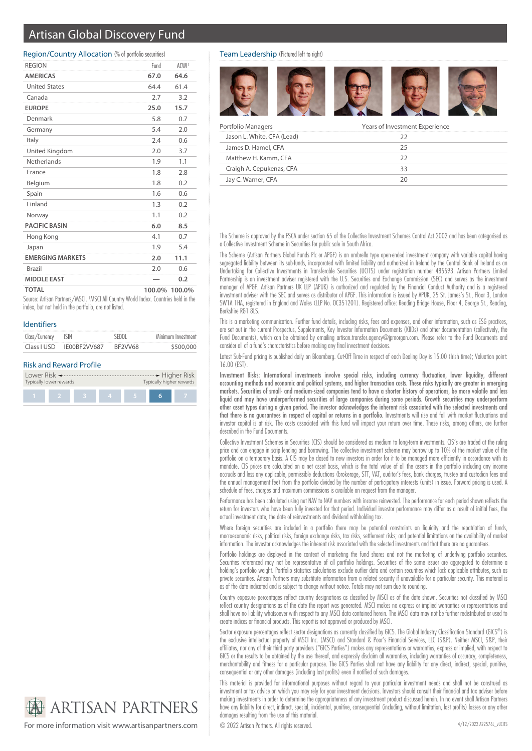# Artisan Global Discovery Fund

## Region/Country Allocation (% of portfolio securities)

| <b>REGION</b>           | Fund | ACWI <sup>1</sup> |
|-------------------------|------|-------------------|
| <b>AMERICAS</b>         | 67.0 | 64.6              |
| <b>United States</b>    | 64.4 | 61.4              |
| Canada                  | 2.7  | 3.2               |
| <b>EUROPE</b>           | 25.0 | 15.7              |
| Denmark                 | 5.8  | 0.7               |
| Germany                 | 5.4  | 2.0               |
| Italy                   | 2.4  | 0.6               |
| United Kingdom          | 2.0  | 3.7               |
| Netherlands             | 1.9  | 1.1               |
| France                  | 1.8  | 2.8               |
| Belgium                 | 1.8  | 0.2               |
| Spain                   | 1.6  | 0.6               |
| Finland                 | 1.3  | 0.2               |
| Norway                  | 1.1  | 0.2               |
| <b>PACIFIC BASIN</b>    | 6.0  | 8.5               |
| Hong Kong               | 4.1  | 0.7               |
| Japan                   | 1.9  | 5.4               |
| <b>EMERGING MARKETS</b> | 2.0  | 11.1              |
| Brazil                  | 2.0  | 0.6               |
| <b>MIDDLE EAST</b>      |      | 0.2               |
| <b>TOTAL</b>            |      | 100.0% 100.0%     |

Source: Artisan Partners/MSCI. <sup>1</sup>MSCI All Country World Index. Countries held in the index, but not held in the portfolio, are not listed.

### Identifiers

| Class/Currency ISIN |              | SEDOL   | Minimum Investment |
|---------------------|--------------|---------|--------------------|
| Class I USD         | IF00BF2VV687 | BF2VV68 | \$500,000          |

## Risk and Reward Profile



## Team Leadership (Pictured left to right)



| Portfolio Managers         | Years of Investment Experience |  |
|----------------------------|--------------------------------|--|
| Jason L. White, CFA (Lead) |                                |  |
| James D. Hamel, CFA        | 75                             |  |
| Matthew H. Kamm, CFA       |                                |  |
| Craigh A. Cepukenas, CFA   |                                |  |
| Jay C. Warner, CFA         |                                |  |

The Scheme is approved by the FSCA under section 65 of the Collective Investment Schemes Control Act 2002 and has been categorised as a Collective Investment Scheme in Securities for public sale in South Africa.

The Scheme (Artisan Partners Global Funds Plc or APGF) is an umbrella type open-ended investment company with variable capital having segregated liability between its sub-funds, incorporated with limited liability and authorized in Ireland by the Central Bank of Ireland as an Undertaking for Collective Investments in Transferable Securities (UCITS) under registration number 485593. Artisan Partners Limited Partnership is an investment adviser registered with the U.S. Securities and Exchange Commission (SEC) and serves as the investment manager of APGF. Artisan Partners UK LLP (APUK) is authorized and regulated by the Financial Conduct Authority and is a registered investment adviser with the SEC and serves as distributor of APGF. This information is issued by APUK, 25 St. James's St., Floor 3, London SW1A 1HA, registered in England and Wales (LLP No. OC351201). Registered office: Reading Bridge House, Floor 4, George St., Reading, Berkshire RG1 8LS.

This is a marketing communication. Further fund details, including risks, fees and expenses, and other information, such as ESG practices, are set out in the current Prospectus, Supplements, Key Investor Information Documents (KIIDs) and other documentation (collectively, the Fund Documents), which can be obtained by emailing artisan.transfer.agency@jpmorgan.com. Please refer to the Fund Documents and consider all of a fund's characteristics before making any final investment decisions.

Latest Sub-Fund pricing is published daily on Bloomberg. Cut-Off Time in respect of each Dealing Day is 15.00 (Irish time); Valuation point: 16.00 (EST).

Investment Risks: International investments involve special risks, including currency fluctuation, lower liquidity, different accounting methods and economic and political systems, and higher transaction costs. These risks typically are greater in emerging markets. Securities of small- and medium-sized companies tend to have a shorter history of operations, be more volatile and less liquid and may have underperformed securities of large companies during some periods. Growth securities may underperform other asset types during a given period. The investor acknowledges the inherent risk associated with the selected investments and that there is no guarantees in respect of capital or returns in a portfolio. Investments will rise and fall with market fluctuations and investor capital is at risk. The costs associated with this fund will impact your return over time. These risks, among others, are further described in the Fund Documents.

Collective Investment Schemes in Securities (CIS) should be considered as medium to long-term investments. CIS's are traded at the ruling price and can engage in scrip lending and borrowing. The collective investment scheme may borrow up to 10% of the market value of the portfolio on a temporary basis. A CIS may be closed to new investors in order for it to be managed more efficiently in accordance with its mandate. CIS prices are calculated on a net asset basis, which is the total value of all the assets in the portfolio including any income accruals and less any applicable, permissible deductions (brokerage, STT, VAT, auditor's fees, bank charges, trustee and custodian fees and the annual management fee) from the portfolio divided by the number of participatory interests (units) in issue. Forward pricing is used. A schedule of fees, charges and maximum commissions is available on request from the manager.

Performance has been calculated using net NAV to NAV numbers with income reinvested. The performance for each period shown reflects the return for investors who have been fully invested for that period. Individual investor performance may differ as a result of initial fees, the actual investment date, the date of reinvestments and dividend withholding tax.

Where foreign securities are included in a portfolio there may be potential constraints on liquidity and the repatriation of funds, macroeconomic risks, political risks, foreign exchange risks, tax risks, settlement risks; and potential limitations on the availability of market information. The investor acknowledges the inherent risk associated with the selected investments and that there are no guarantees.

Portfolio holdings are displayed in the context of marketing the fund shares and not the marketing of underlying portfolio securities. Securities referenced may not be representative of all portfolio holdings. Securities of the same issuer are aggregated to determine a holding's portfolio weight. Portfolio statistics calculations exclude outlier data and certain securities which lack applicable attributes, such as private securities. Artisan Partners may substitute information from a related security if unavailable for a particular security. This material is as of the date indicated and is subject to change without notice. Totals may not sum due to rounding.

Country exposure percentages reflect country designations as classified by MSCI as of the date shown. Securities not classified by MSCI reflect country designations as of the date the report was generated. MSCI makes no express or implied warranties or representations and shall have no liability whatsoever with respect to any MSCI data contained herein. The MSCI data may not be further redistributed or used to create indices or financial products. This report is not approved or produced by MSCI.

Sector exposure percentages reflect sector designations as currently classified by GICS. The Global Industry Classification Standard (GICS®) is the exclusive intellectual property of MSCI Inc. (MSCI) and Standard & Poor's Financial Services, LLC (S&P). Neither MSCI, S&P, their affiliates, nor any of their third party providers ("GICS Parties") makes any representations or warranties, express or implied, with respect to GICS or the results to be obtained by the use thereof, and expressly disclaim all warranties, including warranties of accuracy, completeness, merchantability and fitness for a particular purpose. The GICS Parties shall not have any liability for any direct, indirect, special, punitive, consequential or any other damages (including lost profits) even if notified of such damages.

This material is provided for informational purposes without regard to your particular investment needs and shall not be construed as investment or tax advice on which you may rely for your investment decisions. Investors should consult their financial and tax adviser before making investments in order to determine the appropriateness of any investment product discussed herein. In no event shall Artisan Partners have any liability for direct, indirect, special, incidental, punitive, consequential (including, without limitation, lost profits) losses or any other damages resulting from the use of this material.

**ARTISAN PARTNERS** For more information visit www.artisanpartners.com  $\bigcirc$  2022 Artisan Partners. All rights reserved.